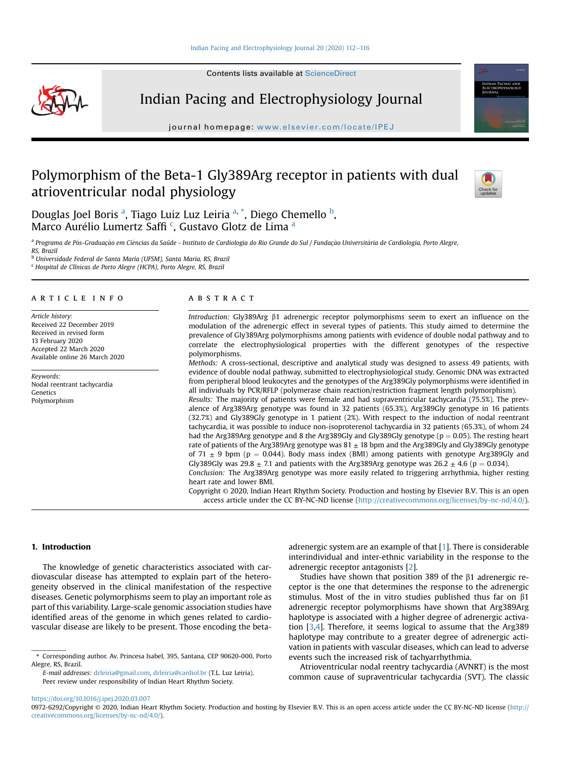Contents lists available at ScienceDirect



Indian Pacing and Electrophysiology Journal

journal homepage: <www.elsevier.com/locate/IPEJ>

# Polymorphism of the Beta-1 Gly389Arg receptor in patients with dual atrioventricular nodal physiology



Dougl[a](#page-0-0)s Joel Boris <sup>a</sup>, Tiago Luiz Luz Leiria <sup>a,</sup> [\\*](#page-0-1), Diego Chemello <sup>[b](#page-0-2)</sup>, Mar[c](#page-0-3)o Aurélio Lumertz S[a](#page-0-0)ffi<sup>c</sup>, Gustavo Glotz de Lima <sup>a</sup>

<span id="page-0-0"></span>a Programa de Pós-Graduação em Ciências da Saúde - Instituto de Cardiologia do Rio Grande do Sul / Fundação Universitária de Cardiologia, Porto Alegre,

<span id="page-0-3"></span><span id="page-0-2"></span><sup>b</sup> Universidade Federal de Santa Maria (UFSM), Santa Maria, RS, Brazil <sup>c</sup> Hospital de Clínicas de Porto Alegre (HCPA), Porto Alegre, RS, Brazil

## article info

Article history: Received 22 December 2019 Received in revised form 13 February 2020 Accepted 22 March 2020 Available online 26 March 2020

Keywords: Nodal reentrant tachycardia Genetics Polymorphism

## **ABSTRACT**

Introduction: Gly389Arg b1 adrenergic receptor polymorphisms seem to exert an influence on the modulation of the adrenergic effect in several types of patients. This study aimed to determine the prevalence of Gly389Arg polymorphisms among patients with evidence of double nodal pathway and to correlate the electrophysiological properties with the different genotypes of the respective polymorphisms.

Methods: A cross-sectional, descriptive and analytical study was designed to assess 49 patients, with evidence of double nodal pathway, submitted to electrophysiological study. Genomic DNA was extracted from peripheral blood leukocytes and the genotypes of the Arg389Gly polymorphisms were identified in all individuals by PCR/RFLP (polymerase chain reaction/restriction fragment length polymorphism).

Results: The majority of patients were female and had supraventricular tachycardia (75.5%). The prevalence of Arg389Arg genotype was found in 32 patients (65.3%), Arg389Gly genotype in 16 patients (32.7%) and Gly389Gly genotype in 1 patient (2%). With respect to the induction of nodal reentrant tachycardia, it was possible to induce non-isoproterenol tachycardia in 32 patients (65.3%), of whom 24 had the Arg389Arg genotype and 8 the Arg389Gly and Gly389Gly genotype ( $p = 0.05$ ). The resting heart rate of patients of the Arg389Arg genotype was  $81 \pm 18$  bpm and the Arg389Gly and Gly389Gly genotype of 71  $\pm$  9 bpm (p = 0.044). Body mass index (BMI) among patients with genotype Arg389Gly and Gly389Gly was 29.8  $\pm$  7.1 and patients with the Arg389Arg genotype was 26.2  $\pm$  4.6 (p = 0.034). Conclusion: The Arg389Arg genotype was more easily related to triggering arrhythmia, higher resting

heart rate and lower BMI.

Copyright © 2020, Indian Heart Rhythm Society. Production and hosting by Elsevier B.V. This is an open access article under the CC BY-NC-ND license [\(http://creativecommons.org/licenses/by-nc-nd/4.0/](http://creativecommons.org/licenses/by-nc-nd/4.0/)).

# 1. Introduction

The knowledge of genetic characteristics associated with cardiovascular disease has attempted to explain part of the heterogeneity observed in the clinical manifestation of the respective diseases. Genetic polymorphisms seem to play an important role as part of this variability. Large-scale genomic association studies have identified areas of the genome in which genes related to cardiovascular disease are likely to be present. Those encoding the beta-

E-mail addresses: [drleiria@gmail.com,](mailto:drleiria@gmail.com) [drleiria@cardiol.br](mailto:drleiria@cardiol.br) (T.L. Luz Leiria). Peer review under responsibility of Indian Heart Rhythm Society.

adrenergic system are an example of that [[1\]](#page-4-0). There is considerable interindividual and inter-ethnic variability in the response to the adrenergic receptor antagonists [\[2\]](#page-4-1).

Studies have shown that position 389 of the  $\beta$ 1 adrenergic receptor is the one that determines the response to the adrenergic stimulus. Most of the in vitro studies published thus far on  $\beta$ 1 adrenergic receptor polymorphisms have shown that Arg389Arg haplotype is associated with a higher degree of adrenergic activation [\[3,](#page-4-2)[4\]](#page-4-3). Therefore, it seems logical to assume that the Arg389 haplotype may contribute to a greater degree of adrenergic activation in patients with vascular diseases, which can lead to adverse events such the increased risk of tachyarrhythmia.

Atrioventricular nodal reentry tachycardia (AVNRT) is the most common cause of supraventricular tachycardia (SVT). The classic

<https://doi.org/10.1016/j.ipej.2020.03.007>

RS, Brazil

<span id="page-0-1"></span><sup>\*</sup> Corresponding author. Av. Princesa Isabel, 395, Santana, CEP 90620-000, Porto Alegre, RS, Brazil.

<sup>0972-6292/</sup>Copyright © 2020, Indian Heart Rhythm Society. Production and hosting by Elsevier B.V. This is an open access article under the CC BY-NC-ND license [\(http://](http://creativecommons.org/licenses/by-nc-nd/4.0/) [creativecommons.org/licenses/by-nc-nd/4.0/](http://creativecommons.org/licenses/by-nc-nd/4.0/)).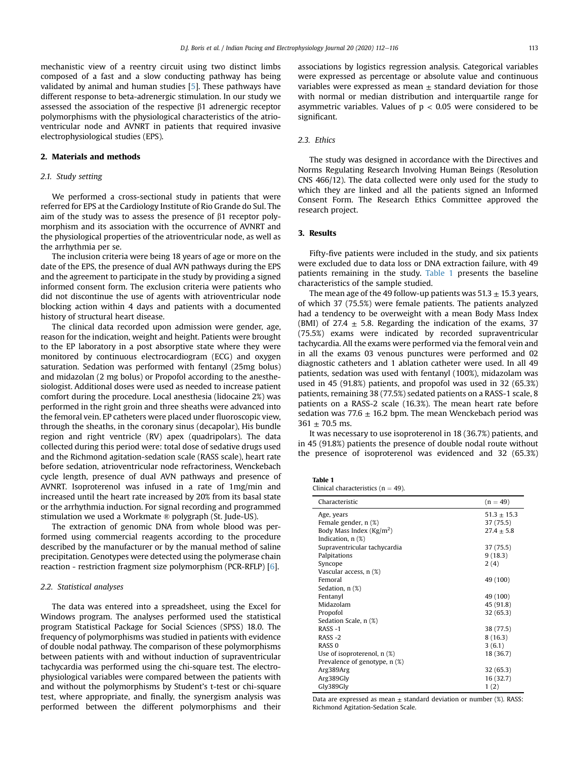mechanistic view of a reentry circuit using two distinct limbs composed of a fast and a slow conducting pathway has being validated by animal and human studies [[5](#page-4-4)]. These pathways have different response to beta-adrenergic stimulation. In our study we assessed the association of the respective  $\beta$ 1 adrenergic receptor polymorphisms with the physiological characteristics of the atrioventricular node and AVNRT in patients that required invasive electrophysiological studies (EPS).

## 2. Materials and methods

# 2.1. Study setting

We performed a cross-sectional study in patients that were referred for EPS at the Cardiology Institute of Rio Grande do Sul. The aim of the study was to assess the presence of  $\beta$ 1 receptor polymorphism and its association with the occurrence of AVNRT and the physiological properties of the atrioventricular node, as well as the arrhythmia per se.

The inclusion criteria were being 18 years of age or more on the date of the EPS, the presence of dual AVN pathways during the EPS and the agreement to participate in the study by providing a signed informed consent form. The exclusion criteria were patients who did not discontinue the use of agents with atrioventricular node blocking action within 4 days and patients with a documented history of structural heart disease.

The clinical data recorded upon admission were gender, age, reason for the indication, weight and height. Patients were brought to the EP laboratory in a post absorptive state where they were monitored by continuous electrocardiogram (ECG) and oxygen saturation. Sedation was performed with fentanyl (25mg bolus) and midazolan (2 mg bolus) or Propofol according to the anesthesiologist. Additional doses were used as needed to increase patient comfort during the procedure. Local anesthesia (lidocaine 2%) was performed in the right groin and three sheaths were advanced into the femoral vein. EP catheters were placed under fluoroscopic view, through the sheaths, in the coronary sinus (decapolar), His bundle region and right ventricle (RV) apex (quadripolars). The data collected during this period were: total dose of sedative drugs used and the Richmond agitation-sedation scale (RASS scale), heart rate before sedation, atrioventricular node refractoriness, Wenckebach cycle length, presence of dual AVN pathways and presence of AVNRT. Isoproterenol was infused in a rate of 1mg/min and increased until the heart rate increased by 20% from its basal state or the arrhythmia induction. For signal recording and programmed stimulation we used a Workmate ® polygraph (St. Jude-US).

The extraction of genomic DNA from whole blood was performed using commercial reagents according to the procedure described by the manufacturer or by the manual method of saline precipitation. Genotypes were detected using the polymerase chain reaction - restriction fragment size polymorphism (PCR-RFLP) [\[6\]](#page-4-5).

# 2.2. Statistical analyses

The data was entered into a spreadsheet, using the Excel for Windows program. The analyses performed used the statistical program Statistical Package for Social Sciences (SPSS) 18.0. The frequency of polymorphisms was studied in patients with evidence of double nodal pathway. The comparison of these polymorphisms between patients with and without induction of supraventricular tachycardia was performed using the chi-square test. The electrophysiological variables were compared between the patients with and without the polymorphisms by Student's t-test or chi-square test, where appropriate, and finally, the synergism analysis was performed between the different polymorphisms and their

associations by logistics regression analysis. Categorical variables were expressed as percentage or absolute value and continuous variables were expressed as mean  $\pm$  standard deviation for those with normal or median distribution and interquartile range for asymmetric variables. Values of  $p < 0.05$  were considered to be significant.

# 2.3. Ethics

The study was designed in accordance with the Directives and Norms Regulating Research Involving Human Beings (Resolution CNS 466/12). The data collected were only used for the study to which they are linked and all the patients signed an Informed Consent Form. The Research Ethics Committee approved the research project.

## 3. Results

Fifty-five patients were included in the study, and six patients were excluded due to data loss or DNA extraction failure, with 49 patients remaining in the study. [Table 1](#page-1-0) presents the baseline characteristics of the sample studied.

The mean age of the 49 follow-up patients was  $51.3 \pm 15.3$  years, of which 37 (75.5%) were female patients. The patients analyzed had a tendency to be overweight with a mean Body Mass Index (BMI) of 27.4  $\pm$  5.8. Regarding the indication of the exams, 37 (75.5%) exams were indicated by recorded supraventricular tachycardia. All the exams were performed via the femoral vein and in all the exams 03 venous punctures were performed and 02 diagnostic catheters and 1 ablation catheter were used. In all 49 patients, sedation was used with fentanyl (100%), midazolam was used in 45 (91.8%) patients, and propofol was used in 32 (65.3%) patients, remaining 38 (77.5%) sedated patients on a RASS-1 scale, 8 patients on a RASS-2 scale (16.3%). The mean heart rate before sedation was 77.6  $\pm$  16.2 bpm. The mean Wenckebach period was  $361 \pm 70.5$  ms.

It was necessary to use isoproterenol in 18 (36.7%) patients, and in 45 (91.8%) patients the presence of double nodal route without the presence of isoproterenol was evidenced and 32 (65.3%)

<span id="page-1-0"></span>

| aı<br>٠<br>п<br><br>. .<br>$\sim$ |  |
|-----------------------------------|--|
|-----------------------------------|--|

|  | Clinical characteristics ( $n = 49$ ). |  |  |  |  |
|--|----------------------------------------|--|--|--|--|
|--|----------------------------------------|--|--|--|--|

| Characteristic                      | $(n = 49)$      |
|-------------------------------------|-----------------|
| Age, years                          | $51.3 \pm 15.3$ |
| Female gender, n (%)                | 37 (75.5)       |
| Body Mass Index ( $\text{Kg/m}^2$ ) | $27.4 \pm 5.8$  |
| Indication, $n$ $(\%)$              |                 |
| Supraventricular tachycardia        | 37 (75.5)       |
| Palpitations                        | 9(18.3)         |
| Syncope                             | 2(4)            |
| Vascular access, n (%)              |                 |
| Femoral                             | 49 (100)        |
| Sedation, $n$ $(\%)$                |                 |
| Fentanyl                            | 49 (100)        |
| Midazolam                           | 45 (91.8)       |
| Propofol                            | 32(65.3)        |
| Sedation Scale, n (%)               |                 |
| $RASS -1$                           | 38 (77.5)       |
| $RASS -2$                           | 8(16.3)         |
| RASS <sub>0</sub>                   | 3(6.1)          |
| Use of isoproterenol, n (%)         | 18 (36.7)       |
| Prevalence of genotype, n (%)       |                 |
| Arg389Arg                           | 32(65.3)        |
| Arg389Gly                           | 16 (32.7)       |
| Gly389Gly                           | 1(2)            |

Data are expressed as mean  $\pm$  standard deviation or number (%). RASS: Richmond Agitation-Sedation Scale.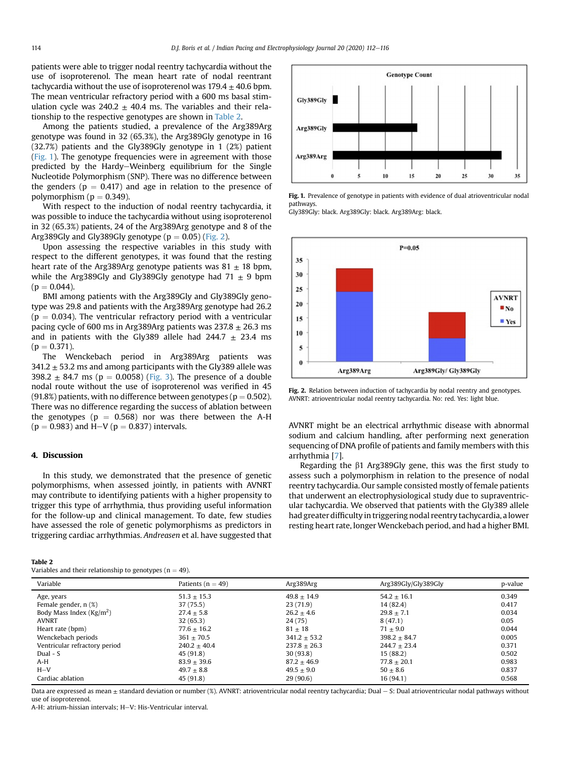patients were able to trigger nodal reentry tachycardia without the use of isoproterenol. The mean heart rate of nodal reentrant tachycardia without the use of isoproterenol was  $179.4 \pm 40.6$  bpm. The mean ventricular refractory period with a 600 ms basal stimulation cycle was  $240.2 \pm 40.4$  ms. The variables and their relationship to the respective genotypes are shown in [Table 2.](#page-2-0)

Among the patients studied, a prevalence of the Arg389Arg genotype was found in 32 (65.3%), the Arg389Gly genotype in 16 (32.7%) patients and the Gly389Gly genotype in 1 (2%) patient ([Fig. 1](#page-2-1)). The genotype frequencies were in agreement with those predicted by the Hardy-Weinberg equilibrium for the Single Nucleotide Polymorphism (SNP). There was no difference between the genders ( $p = 0.417$ ) and age in relation to the presence of polymorphism ( $p = 0.349$ ).

With respect to the induction of nodal reentry tachycardia, it was possible to induce the tachycardia without using isoproterenol in 32 (65.3%) patients, 24 of the Arg389Arg genotype and 8 of the Arg389Gly and Gly389Gly genotype ( $p = 0.05$ ) ([Fig. 2](#page-2-2)).

Upon assessing the respective variables in this study with respect to the different genotypes, it was found that the resting heart rate of the Arg389Arg genotype patients was  $81 \pm 18$  bpm, while the Arg389Gly and Gly389Gly genotype had  $71 \pm 9$  bpm  $(p = 0.044)$ .

BMI among patients with the Arg389Gly and Gly389Gly genotype was 29.8 and patients with the Arg389Arg genotype had 26.2 ( $p = 0.034$ ). The ventricular refractory period with a ventricular pacing cycle of 600 ms in Arg389Arg patients was  $237.8 \pm 26.3$  ms and in patients with the Gly389 allele had 244.7  $\pm$  23.4 ms  $(p = 0.371)$ .

The Wenckebach period in Arg389Arg patients was  $341.2 \pm 53.2$  ms and among participants with the Gly389 allele was 398.2  $\pm$  84.7 ms (p = 0.0058) [\(Fig. 3](#page-3-0)). The presence of a double nodal route without the use of isoproterenol was verified in 45 (91.8%) patients, with no difference between genotypes ( $p = 0.502$ ). There was no difference regarding the success of ablation between the genotypes ( $p = 0.568$ ) nor was there between the A-H  $(p = 0.983)$  and H-V ( $p = 0.837$ ) intervals.

## 4. Discussion

In this study, we demonstrated that the presence of genetic polymorphisms, when assessed jointly, in patients with AVNRT may contribute to identifying patients with a higher propensity to trigger this type of arrhythmia, thus providing useful information for the follow-up and clinical management. To date, few studies have assessed the role of genetic polymorphisms as predictors in triggering cardiac arrhythmias. Andreasen et al. have suggested that

#### <span id="page-2-0"></span>Table 2

Variables and their relationship to genotypes ( $n = 49$ ).

<span id="page-2-1"></span>

Fig. 1. Prevalence of genotype in patients with evidence of dual atrioventricular nodal pathways.

<span id="page-2-2"></span>Gly389Gly: black. Arg389Gly: black. Arg389Arg: black.



Fig. 2. Relation between induction of tachycardia by nodal reentry and genotypes. AVNRT: atrioventricular nodal reentry tachycardia. No: red. Yes: light blue.

AVNRT might be an electrical arrhythmic disease with abnormal sodium and calcium handling, after performing next generation sequencing of DNA profile of patients and family members with this arrhythmia [[7](#page-4-6)].

Regarding the  $\beta$ 1 Arg389Gly gene, this was the first study to assess such a polymorphism in relation to the presence of nodal reentry tachycardia. Our sample consisted mostly of female patients that underwent an electrophysiological study due to supraventricular tachycardia. We observed that patients with the Gly389 allele had greater difficulty in triggering nodal reentry tachycardia, a lower resting heart rate, longer Wenckebach period, and had a higher BMI.

| Variable                            | Patients ( $n = 49$ ) | Arg389Arg        | Arg389Gly/Gly389Gly | p-value |
|-------------------------------------|-----------------------|------------------|---------------------|---------|
| Age, years                          | $51.3 \pm 15.3$       | $49.8 \pm 14.9$  | $54.2 + 16.1$       | 0.349   |
| Female gender, n (%)                | 37 (75.5)             | 23(71.9)         | 14 (82.4)           | 0.417   |
| Body Mass Index ( $\text{Kg/m}^2$ ) | $27.4 \pm 5.8$        | $26.2 \pm 4.6$   | $29.8 + 7.1$        | 0.034   |
| AVNRT                               | 32(65.3)              | 24 (75)          | 8(47.1)             | 0.05    |
| Heart rate (bpm)                    | $77.6 \pm 16.2$       | $81 \pm 18$      | $71 + 9.0$          | 0.044   |
| Wenckebach periods                  | $361 \pm 70.5$        | $341.2 \pm 53.2$ | $398.2 + 84.7$      | 0.005   |
| Ventricular refractory period       | $240.2 + 40.4$        | $237.8 \pm 26.3$ | $244.7 + 23.4$      | 0.371   |
| Dual - $S$                          | 45 (91.8)             | 30(93.8)         | 15 (88.2)           | 0.502   |
| A-H                                 | $83.9 \pm 39.6$       | $87.2 \pm 46.9$  | $77.8 \pm 20.1$     | 0.983   |
| $H - V$                             | $49.7 \pm 8.8$        | $49.5 \pm 9.0$   | $50 \pm 8.6$        | 0.837   |
| Cardiac ablation                    | 45 (91.8)             | 29(90.6)         | 16(94.1)            | 0.568   |

Data are expressed as mean  $\pm$  standard deviation or number (%). AVNRT: atrioventricular nodal reentry tachycardia; Dual  $-$  S: Dual atrioventricular nodal pathways without use of isoproterenol.

A-H: atrium-hissian intervals; H-V: His-Ventricular interval.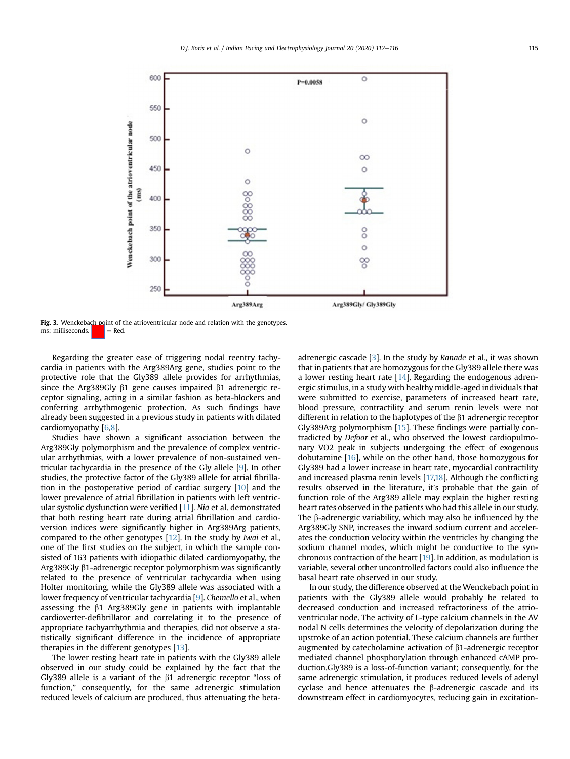<span id="page-3-0"></span>

Fig. 3. Wenckebach point of the atrioventricular node and relation with the genotypes. ms: milliseconds.  $\parallel \cdot \cdot \parallel = \text{Red}$ .

Regarding the greater ease of triggering nodal reentry tachycardia in patients with the Arg389Arg gene, studies point to the protective role that the Gly389 allele provides for arrhythmias, since the Arg389Gly  $\beta$ 1 gene causes impaired  $\beta$ 1 adrenergic receptor signaling, acting in a similar fashion as beta-blockers and conferring arrhythmogenic protection. As such findings have already been suggested in a previous study in patients with dilated cardiomyopathy [\[6,](#page-4-5)[8](#page-4-7)].

Studies have shown a significant association between the Arg389Gly polymorphism and the prevalence of complex ventricular arrhythmias, with a lower prevalence of non-sustained ventricular tachycardia in the presence of the Gly allele [[9\]](#page-4-8). In other studies, the protective factor of the Gly389 allele for atrial fibrillation in the postoperative period of cardiac surgery [[10\]](#page-4-9) and the lower prevalence of atrial fibrillation in patients with left ventricular systolic dysfunction were verified [[11](#page-4-10)]. Nia et al. demonstrated that both resting heart rate during atrial fibrillation and cardioversion indices were significantly higher in Arg389Arg patients, compared to the other genotypes [\[12](#page-4-11)]. In the study by Iwai et al., one of the first studies on the subject, in which the sample consisted of 163 patients with idiopathic dilated cardiomyopathy, the Arg389Gly  $\beta$ 1-adrenergic receptor polymorphism was significantly related to the presence of ventricular tachycardia when using Holter monitoring, while the Gly389 allele was associated with a lower frequency of ventricular tachycardia [[9\]](#page-4-8). Chemello et al., when assessing the  $\beta$ 1 Arg389Gly gene in patients with implantable cardioverter-defibrillator and correlating it to the presence of appropriate tachyarrhythmia and therapies, did not observe a statistically significant difference in the incidence of appropriate therapies in the different genotypes [[13\]](#page-4-12).

The lower resting heart rate in patients with the Gly389 allele observed in our study could be explained by the fact that the Gly389 allele is a variant of the  $\beta$ 1 adrenergic receptor "loss of function," consequently, for the same adrenergic stimulation reduced levels of calcium are produced, thus attenuating the betaadrenergic cascade [[3](#page-4-2)]. In the study by Ranade et al., it was shown that in patients that are homozygous for the Gly389 allele there was a lower resting heart rate [[14\]](#page-4-13). Regarding the endogenous adrenergic stimulus, in a study with healthy middle-aged individuals that were submitted to exercise, parameters of increased heart rate, blood pressure, contractility and serum renin levels were not different in relation to the haplotypes of the  $\beta$ 1 adrenergic receptor Gly389Arg polymorphism [[15\]](#page-4-14). These findings were partially contradicted by Defoor et al., who observed the lowest cardiopulmonary VO2 peak in subjects undergoing the effect of exogenous dobutamine [[16\]](#page-4-15), while on the other hand, those homozygous for Gly389 had a lower increase in heart rate, myocardial contractility and increased plasma renin levels [\[17,](#page-4-16)[18](#page-4-17)]. Although the conflicting results observed in the literature, it's probable that the gain of function role of the Arg389 allele may explain the higher resting heart rates observed in the patients who had this allele in our study. The  $\beta$ -adrenergic variability, which may also be influenced by the Arg389Gly SNP, increases the inward sodium current and accelerates the conduction velocity within the ventricles by changing the sodium channel modes, which might be conductive to the synchronous contraction of the heart [\[19](#page-4-18)]. In addition, as modulation is variable, several other uncontrolled factors could also influence the basal heart rate observed in our study.

In our study, the difference observed at the Wenckebach point in patients with the Gly389 allele would probably be related to decreased conduction and increased refractoriness of the atrioventricular node. The activity of L-type calcium channels in the AV nodal N cells determines the velocity of depolarization during the upstroke of an action potential. These calcium channels are further augmented by catecholamine activation of b1-adrenergic receptor mediated channel phosphorylation through enhanced cAMP production.Gly389 is a loss-of-function variant; consequently, for the same adrenergic stimulation, it produces reduced levels of adenyl cyclase and hence attenuates the  $\beta$ -adrenergic cascade and its downstream effect in cardiomyocytes, reducing gain in excitation